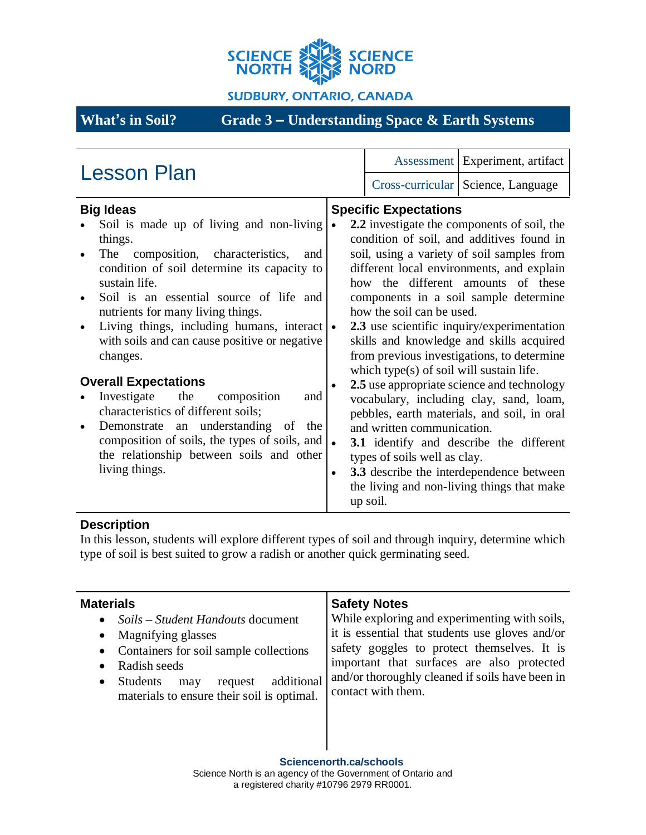

#### **SUDBURY, ONTARIO, CANADA**

# **What's in Soil? Grade 3 – Understanding Space & Earth Systems**

## **Description**

In this lesson, students will explore different types of soil and through inquiry, determine which type of soil is best suited to grow a radish or another quick germinating seed.

| <b>Materials</b><br>Soils – Student Handouts document<br>$\bullet$<br>Magnifying glasses<br>$\bullet$<br>Containers for soil sample collections<br>$\bullet$<br>Radish seeds<br>additional<br><b>Students</b><br>request<br>may<br>$\bullet$<br>materials to ensure their soil is optimal. | <b>Safety Notes</b><br>While exploring and experimenting with soils,<br>it is essential that students use gloves and/or<br>safety goggles to protect themselves. It is<br>important that surfaces are also protected<br>and/or thoroughly cleaned if soils have been in<br>contact with them. |
|--------------------------------------------------------------------------------------------------------------------------------------------------------------------------------------------------------------------------------------------------------------------------------------------|-----------------------------------------------------------------------------------------------------------------------------------------------------------------------------------------------------------------------------------------------------------------------------------------------|
|                                                                                                                                                                                                                                                                                            |                                                                                                                                                                                                                                                                                               |